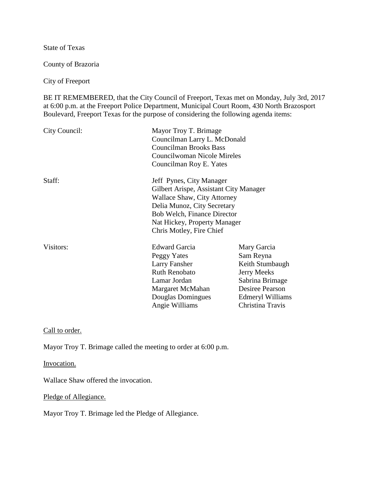State of Texas

County of Brazoria

City of Freeport

BE IT REMEMBERED, that the City Council of Freeport, Texas met on Monday, July 3rd, 2017 at 6:00 p.m. at the Freeport Police Department, Municipal Court Room, 430 North Brazosport Boulevard, Freeport Texas for the purpose of considering the following agenda items:

| City Council: | Mayor Troy T. Brimage<br>Councilman Larry L. McDonald<br><b>Councilman Brooks Bass</b><br><b>Councilwoman Nicole Mireles</b><br>Councilman Roy E. Yates                                                                            |                                                                                                                                                 |
|---------------|------------------------------------------------------------------------------------------------------------------------------------------------------------------------------------------------------------------------------------|-------------------------------------------------------------------------------------------------------------------------------------------------|
| Staff:        | Jeff Pynes, City Manager<br>Gilbert Arispe, Assistant City Manager<br><b>Wallace Shaw, City Attorney</b><br>Delia Munoz, City Secretary<br>Bob Welch, Finance Director<br>Nat Hickey, Property Manager<br>Chris Motley, Fire Chief |                                                                                                                                                 |
| Visitors:     | <b>Edward Garcia</b><br>Peggy Yates<br>Larry Fansher<br><b>Ruth Renobato</b><br>Lamar Jordan<br>Margaret McMahan<br>Douglas Domingues<br>Angie Williams                                                                            | Mary Garcia<br>Sam Reyna<br>Keith Stumbaugh<br>Jerry Meeks<br>Sabrina Brimage<br>Desiree Pearson<br><b>Edmeryl Williams</b><br>Christina Travis |

Call to order.

Mayor Troy T. Brimage called the meeting to order at 6:00 p.m.

Invocation.

Wallace Shaw offered the invocation.

Pledge of Allegiance.

Mayor Troy T. Brimage led the Pledge of Allegiance.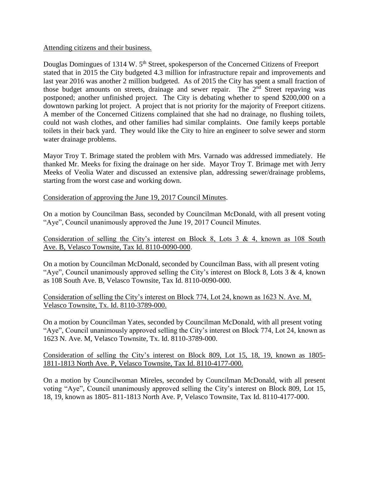### Attending citizens and their business.

Douglas Domingues of 1314 W. 5<sup>th</sup> Street, spokesperson of the Concerned Citizens of Freeport stated that in 2015 the City budgeted 4.3 million for infrastructure repair and improvements and last year 2016 was another 2 million budgeted. As of 2015 the City has spent a small fraction of those budget amounts on streets, drainage and sewer repair. The 2<sup>nd</sup> Street repaving was postponed; another unfinished project. The City is debating whether to spend \$200,000 on a downtown parking lot project. A project that is not priority for the majority of Freeport citizens. A member of the Concerned Citizens complained that she had no drainage, no flushing toilets, could not wash clothes, and other families had similar complaints. One family keeps portable toilets in their back yard. They would like the City to hire an engineer to solve sewer and storm water drainage problems.

Mayor Troy T. Brimage stated the problem with Mrs. Varnado was addressed immediately. He thanked Mr. Meeks for fixing the drainage on her side. Mayor Troy T. Brimage met with Jerry Meeks of Veolia Water and discussed an extensive plan, addressing sewer/drainage problems, starting from the worst case and working down.

# Consideration of approving the June 19, 2017 Council Minutes.

On a motion by Councilman Bass, seconded by Councilman McDonald, with all present voting "Aye", Council unanimously approved the June 19, 2017 Council Minutes.

Consideration of selling the City's interest on Block 8, Lots 3 & 4, known as 108 South Ave. B, Velasco Townsite, Tax Id. 8110-0090-000.

On a motion by Councilman McDonald, seconded by Councilman Bass, with all present voting "Aye", Council unanimously approved selling the City's interest on Block 8, Lots  $3 \& 4$ , known as 108 South Ave. B, Velasco Townsite, Tax Id. 8110-0090-000.

Consideration of selling the City's interest on Block 774, Lot 24, known as 1623 N. Ave. M, Velasco Townsite, Tx. Id. 8110-3789-000.

On a motion by Councilman Yates, seconded by Councilman McDonald, with all present voting "Aye", Council unanimously approved selling the City's interest on Block 774, Lot 24, known as 1623 N. Ave. M, Velasco Townsite, Tx. Id. 8110-3789-000.

Consideration of selling the City's interest on Block 809, Lot 15, 18, 19, known as 1805- 1811-1813 North Ave. P, Velasco Townsite, Tax Id. 8110-4177-000.

On a motion by Councilwoman Mireles, seconded by Councilman McDonald, with all present voting "Aye", Council unanimously approved selling the City's interest on Block 809, Lot 15, 18, 19, known as 1805- 811-1813 North Ave. P, Velasco Townsite, Tax Id. 8110-4177-000.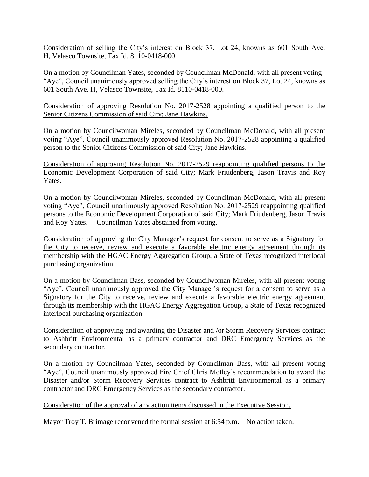Consideration of selling the City's interest on Block 37, Lot 24, knowns as 601 South Ave. H, Velasco Townsite, Tax Id. 8110-0418-000.

On a motion by Councilman Yates, seconded by Councilman McDonald, with all present voting "Aye", Council unanimously approved selling the City's interest on Block 37, Lot 24, knowns as 601 South Ave. H, Velasco Townsite, Tax Id. 8110-0418-000.

Consideration of approving Resolution No. 2017-2528 appointing a qualified person to the Senior Citizens Commission of said City; Jane Hawkins.

On a motion by Councilwoman Mireles, seconded by Councilman McDonald, with all present voting "Aye", Council unanimously approved Resolution No. 2017-2528 appointing a qualified person to the Senior Citizens Commission of said City; Jane Hawkins.

Consideration of approving Resolution No. 2017-2529 reappointing qualified persons to the Economic Development Corporation of said City; Mark Friudenberg, Jason Travis and Roy Yates.

On a motion by Councilwoman Mireles, seconded by Councilman McDonald, with all present voting "Aye", Council unanimously approved Resolution No. 2017-2529 reappointing qualified persons to the Economic Development Corporation of said City; Mark Friudenberg, Jason Travis and Roy Yates. Councilman Yates abstained from voting.

Consideration of approving the City Manager's request for consent to serve as a Signatory for the City to receive, review and execute a favorable electric energy agreement through its membership with the HGAC Energy Aggregation Group, a State of Texas recognized interlocal purchasing organization.

On a motion by Councilman Bass, seconded by Councilwoman Mireles, with all present voting "Aye", Council unanimously approved the City Manager's request for a consent to serve as a Signatory for the City to receive, review and execute a favorable electric energy agreement through its membership with the HGAC Energy Aggregation Group, a State of Texas recognized interlocal purchasing organization.

Consideration of approving and awarding the Disaster and /or Storm Recovery Services contract to Ashbritt Environmental as a primary contractor and DRC Emergency Services as the secondary contractor.

On a motion by Councilman Yates, seconded by Councilman Bass, with all present voting "Aye", Council unanimously approved Fire Chief Chris Motley's recommendation to award the Disaster and/or Storm Recovery Services contract to Ashbritt Environmental as a primary contractor and DRC Emergency Services as the secondary contractor.

Consideration of the approval of any action items discussed in the Executive Session.

Mayor Troy T. Brimage reconvened the formal session at 6:54 p.m. No action taken.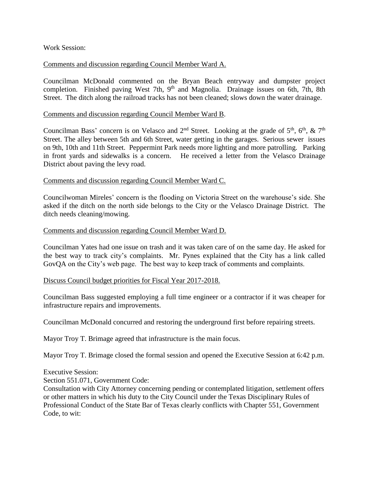### Work Session:

# Comments and discussion regarding Council Member Ward A.

Councilman McDonald commented on the Bryan Beach entryway and dumpster project completion. Finished paving West 7th, 9<sup>th</sup> and Magnolia. Drainage issues on 6th, 7th, 8th Street. The ditch along the railroad tracks has not been cleaned; slows down the water drainage.

### Comments and discussion regarding Council Member Ward B.

Councilman Bass' concern is on Velasco and  $2<sup>nd</sup>$  Street. Looking at the grade of  $5<sup>th</sup>$ ,  $6<sup>th</sup>$ ,  $\&$  7<sup>th</sup> Street. The alley between 5th and 6th Street, water getting in the garages. Serious sewer issues on 9th, 10th and 11th Street. Peppermint Park needs more lighting and more patrolling. Parking in front yards and sidewalks is a concern. He received a letter from the Velasco Drainage District about paving the levy road.

### Comments and discussion regarding Council Member Ward C.

Councilwoman Mireles' concern is the flooding on Victoria Street on the warehouse's side. She asked if the ditch on the north side belongs to the City or the Velasco Drainage District. The ditch needs cleaning/mowing.

#### Comments and discussion regarding Council Member Ward D.

Councilman Yates had one issue on trash and it was taken care of on the same day. He asked for the best way to track city's complaints. Mr. Pynes explained that the City has a link called GovQA on the City's web page. The best way to keep track of comments and complaints.

#### Discuss Council budget priorities for Fiscal Year 2017-2018.

Councilman Bass suggested employing a full time engineer or a contractor if it was cheaper for infrastructure repairs and improvements.

Councilman McDonald concurred and restoring the underground first before repairing streets.

Mayor Troy T. Brimage agreed that infrastructure is the main focus.

Mayor Troy T. Brimage closed the formal session and opened the Executive Session at 6:42 p.m.

Executive Session:

Section 551.071, Government Code:

Consultation with City Attorney concerning pending or contemplated litigation, settlement offers or other matters in which his duty to the City Council under the Texas Disciplinary Rules of Professional Conduct of the State Bar of Texas clearly conflicts with Chapter 551, Government Code, to wit: